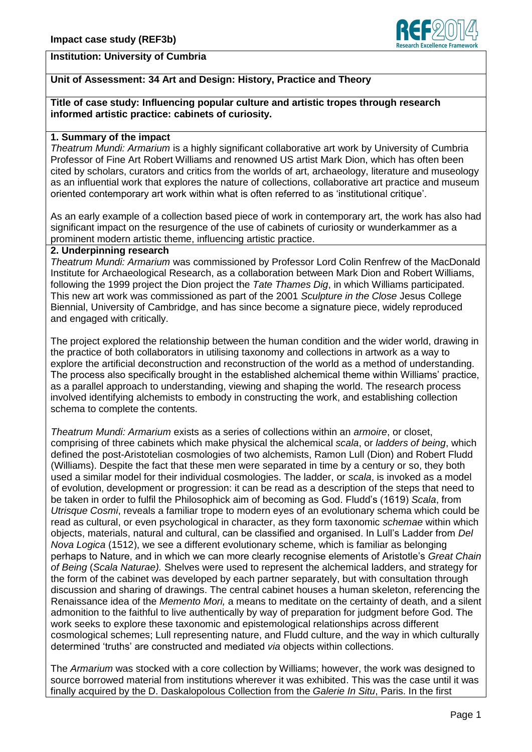

## **Unit of Assessment: 34 Art and Design: History, Practice and Theory**

#### **Title of case study: Influencing popular culture and artistic tropes through research informed artistic practice: cabinets of curiosity.**

#### **1. Summary of the impact**

*Theatrum Mundi: Armarium* is a highly significant collaborative art work by University of Cumbria Professor of Fine Art Robert Williams and renowned US artist Mark Dion, which has often been cited by scholars, curators and critics from the worlds of art, archaeology, literature and museology as an influential work that explores the nature of collections, collaborative art practice and museum oriented contemporary art work within what is often referred to as 'institutional critique'.

As an early example of a collection based piece of work in contemporary art, the work has also had significant impact on the resurgence of the use of cabinets of curiosity or wunderkammer as a prominent modern artistic theme, influencing artistic practice.

### **2. Underpinning research**

*Theatrum Mundi: Armarium* was commissioned by Professor Lord Colin Renfrew of the MacDonald Institute for Archaeological Research, as a collaboration between Mark Dion and Robert Williams, following the 1999 project the Dion project the *Tate Thames Dig*, in which Williams participated. This new art work was commissioned as part of the 2001 *Sculpture in the Close* Jesus College Biennial, University of Cambridge, and has since become a signature piece, widely reproduced and engaged with critically.

The project explored the relationship between the human condition and the wider world, drawing in the practice of both collaborators in utilising taxonomy and collections in artwork as a way to explore the artificial deconstruction and reconstruction of the world as a method of understanding. The process also specifically brought in the established alchemical theme within Williams' practice, as a parallel approach to understanding, viewing and shaping the world. The research process involved identifying alchemists to embody in constructing the work, and establishing collection schema to complete the contents.

*Theatrum Mundi: Armarium* exists as a series of collections within an *armoire*, or closet, comprising of three cabinets which make physical the alchemical *scala*, or *ladders of being*, which defined the post-Aristotelian cosmologies of two alchemists, Ramon Lull (Dion) and Robert Fludd (Williams). Despite the fact that these men were separated in time by a century or so, they both used a similar model for their individual cosmologies. The ladder, or *scala*, is invoked as a model of evolution, development or progression: it can be read as a description of the steps that need to be taken in order to fulfil the Philosophick aim of becoming as God. Fludd's (1619) *Scala*, from *Utrisque Cosmi*, reveals a familiar trope to modern eyes of an evolutionary schema which could be read as cultural, or even psychological in character, as they form taxonomic *schemae* within which objects, materials, natural and cultural, can be classified and organised. In Lull's Ladder from *Del Nova Logica* (1512), we see a different evolutionary scheme, which is familiar as belonging perhaps to Nature, and in which we can more clearly recognise elements of Aristotle's *Great Chain of Being* (*Scala Naturae).* Shelves were used to represent the alchemical ladders, and strategy for the form of the cabinet was developed by each partner separately, but with consultation through discussion and sharing of drawings. The central cabinet houses a human skeleton, referencing the Renaissance idea of the *Memento Mori,* a means to meditate on the certainty of death, and a silent admonition to the faithful to live authentically by way of preparation for judgment before God. The work seeks to explore these taxonomic and epistemological relationships across different cosmological schemes; Lull representing nature, and Fludd culture, and the way in which culturally determined 'truths' are constructed and mediated *via* objects within collections.

The *Armarium* was stocked with a core collection by Williams; however, the work was designed to source borrowed material from institutions wherever it was exhibited. This was the case until it was finally acquired by the D. Daskalopolous Collection from the *Galerie In Situ*, Paris. In the first

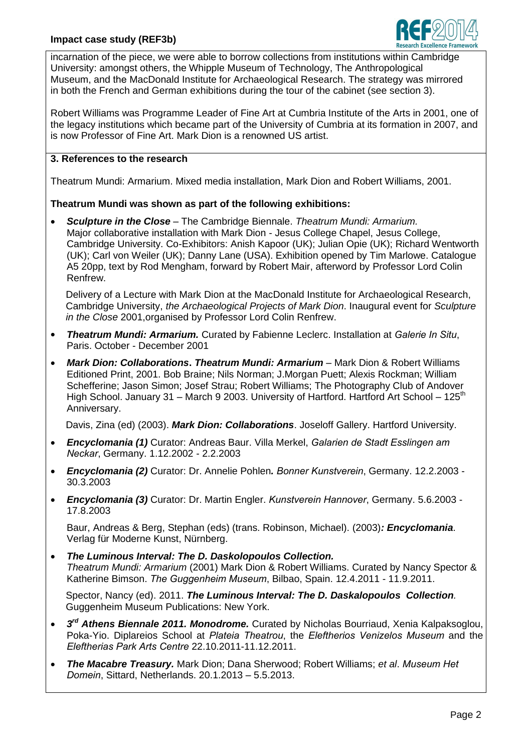

incarnation of the piece, we were able to borrow collections from institutions within Cambridge University: amongst others, the Whipple Museum of Technology, The Anthropological Museum, and the MacDonald Institute for Archaeological Research. The strategy was mirrored in both the French and German exhibitions during the tour of the cabinet (see section 3).

Robert Williams was Programme Leader of Fine Art at Cumbria Institute of the Arts in 2001, one of the legacy institutions which became part of the University of Cumbria at its formation in 2007, and is now Professor of Fine Art. Mark Dion is a renowned US artist.

## **3. References to the research**

Theatrum Mundi: Armarium. Mixed media installation, Mark Dion and Robert Williams, 2001.

# **Theatrum Mundi was shown as part of the following exhibitions:**

 *Sculpture in the Close* – The Cambridge Biennale. *Theatrum Mundi: Armarium.* Major collaborative installation with Mark Dion - Jesus College Chapel, Jesus College, Cambridge University. Co-Exhibitors: Anish Kapoor (UK); Julian Opie (UK); Richard Wentworth (UK); Carl von Weiler (UK); Danny Lane (USA). Exhibition opened by Tim Marlowe. Catalogue A5 20pp, text by Rod Mengham, forward by Robert Mair, afterword by Professor Lord Colin Renfrew.

Delivery of a Lecture with Mark Dion at the MacDonald Institute for Archaeological Research, Cambridge University, *the Archaeological Projects of Mark Dion*. Inaugural event for *Sculpture in the Close* 2001,organised by Professor Lord Colin Renfrew.

- *Theatrum Mundi: Armarium.* Curated by Fabienne Leclerc. Installation at *Galerie In Situ*, Paris. October - December 2001
- *Mark Dion: Collaborations***.** *Theatrum Mundi: Armarium* Mark Dion & Robert Williams Editioned Print, 2001. Bob Braine; Nils Norman; J.Morgan Puett; Alexis Rockman; William Schefferine; Jason Simon; Josef Strau; Robert Williams; The Photography Club of Andover High School. January 31 – March 9 2003. University of Hartford. Hartford Art School – 125<sup>th</sup> Anniversary.

Davis, Zina (ed) (2003). *Mark Dion: Collaborations*. Joseloff Gallery. Hartford University.

- *Encyclomania (1)* Curator: Andreas Baur. Villa Merkel, *Galarien de Stadt Esslingen am Neckar*, Germany. 1.12.2002 - 2.2.2003
- *Encyclomania (2)* Curator: Dr. Annelie Pohlen*. Bonner Kunstverein*, Germany. 12.2.2003 30.3.2003
- *Encyclomania (3)* Curator: Dr. Martin Engler. *Kunstverein Hannover*, Germany. 5.6.2003 17.8.2003

Baur, Andreas & Berg, Stephan (eds) (trans. Robinson, Michael). (2003)*: Encyclomania*. Verlag für Moderne Kunst, Nürnberg.

 *The Luminous Interval: The D. Daskolopoulos Collection. Theatrum Mundi: Armarium* (2001) Mark Dion & Robert Williams. Curated by Nancy Spector & Katherine Bimson. *The Guggenheim Museum*, Bilbao, Spain. 12.4.2011 - 11.9.2011.

Spector, Nancy (ed). 2011. *The Luminous Interval: The D. Daskalopoulos Collection.* Guggenheim Museum Publications: New York.

- *3<sup>rd</sup> Athens Biennale 2011. Monodrome.* Curated by Nicholas Bourriaud, Xenia Kalpaksoglou, Poka-Yio. Diplareios School at *Plateia Theatrou*, the *Eleftherios Venizelos Museum* and the *Eleftherias Park Arts Centre* 22.10.2011-11.12.2011.
- *The Macabre Treasury.* Mark Dion; Dana Sherwood; Robert Williams; *et al*. *Museum Het Domein*, Sittard, Netherlands. 20.1.2013 – 5.5.2013.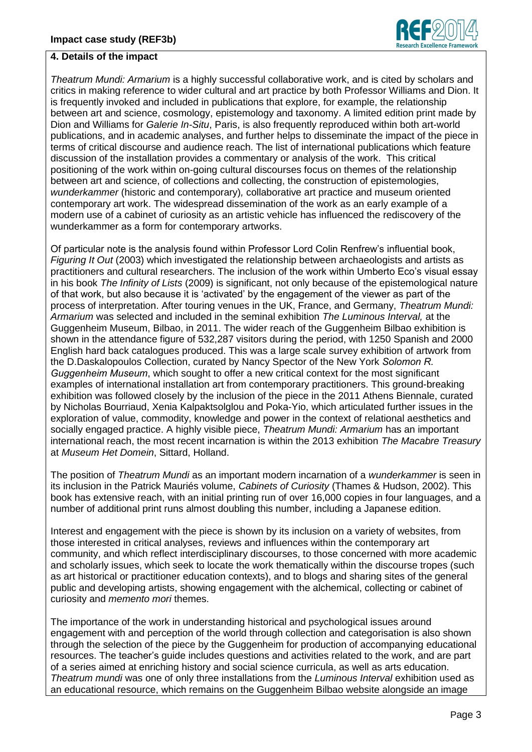

### **4. Details of the impact**

*Theatrum Mundi: Armarium* is a highly successful collaborative work, and is cited by scholars and critics in making reference to wider cultural and art practice by both Professor Williams and Dion. It is frequently invoked and included in publications that explore, for example, the relationship between art and science, cosmology, epistemology and taxonomy. A limited edition print made by Dion and Williams for *Galerie In-Situ*, Paris, is also frequently reproduced within both art-world publications, and in academic analyses, and further helps to disseminate the impact of the piece in terms of critical discourse and audience reach. The list of international publications which feature discussion of the installation provides a commentary or analysis of the work. This critical positioning of the work within on-going cultural discourses focus on themes of the relationship between art and science, of collections and collecting, the construction of epistemologies, *wunderkammer* (historic and contemporary)*,* collaborative art practice and museum oriented contemporary art work. The widespread dissemination of the work as an early example of a modern use of a cabinet of curiosity as an artistic vehicle has influenced the rediscovery of the wunderkammer as a form for contemporary artworks.

Of particular note is the analysis found within Professor Lord Colin Renfrew's influential book, *Figuring It Out* (2003) which investigated the relationship between archaeologists and artists as practitioners and cultural researchers. The inclusion of the work within Umberto Eco's visual essay in his book *The Infinity of Lists* (2009) is significant, not only because of the epistemological nature of that work, but also because it is 'activated' by the engagement of the viewer as part of the process of interpretation. After touring venues in the UK, France, and Germany, *Theatrum Mundi: Armarium* was selected and included in the seminal exhibition *The Luminous Interval,* at the Guggenheim Museum, Bilbao, in 2011. The wider reach of the Guggenheim Bilbao exhibition is shown in the attendance figure of 532,287 visitors during the period, with 1250 Spanish and 2000 English hard back catalogues produced. This was a large scale survey exhibition of artwork from the D.Daskalopoulos Collection, curated by Nancy Spector of the New York *Solomon R. Guggenheim Museum*, which sought to offer a new critical context for the most significant examples of international installation art from contemporary practitioners. This ground-breaking exhibition was followed closely by the inclusion of the piece in the 2011 Athens Biennale, curated by Nicholas Bourriaud, Xenia Kalpaktsolglou and Poka-Yio, which articulated further issues in the exploration of value, commodity, knowledge and power in the context of relational aesthetics and socially engaged practice. A highly visible piece, *Theatrum Mundi: Armarium* has an important international reach, the most recent incarnation is within the 2013 exhibition *The Macabre Treasury* at *Museum Het Domein*, Sittard, Holland.

The position of *Theatrum Mundi* as an important modern incarnation of a *wunderkammer* is seen in its inclusion in the Patrick Mauriés volume, *Cabinets of Curiosity* (Thames & Hudson, 2002). This book has extensive reach, with an initial printing run of over 16,000 copies in four languages, and a number of additional print runs almost doubling this number, including a Japanese edition.

Interest and engagement with the piece is shown by its inclusion on a variety of websites, from those interested in critical analyses, reviews and influences within the contemporary art community, and which reflect interdisciplinary discourses, to those concerned with more academic and scholarly issues, which seek to locate the work thematically within the discourse tropes (such as art historical or practitioner education contexts), and to blogs and sharing sites of the general public and developing artists, showing engagement with the alchemical, collecting or cabinet of curiosity and *memento mori* themes.

The importance of the work in understanding historical and psychological issues around engagement with and perception of the world through collection and categorisation is also shown through the selection of the piece by the Guggenheim for production of accompanying educational resources. The teacher's guide includes questions and activities related to the work, and are part of a series aimed at enriching history and social science curricula, as well as arts education. *Theatrum mundi* was one of only three installations from the *Luminous Interval* exhibition used as an educational resource, which remains on the Guggenheim Bilbao website alongside an image